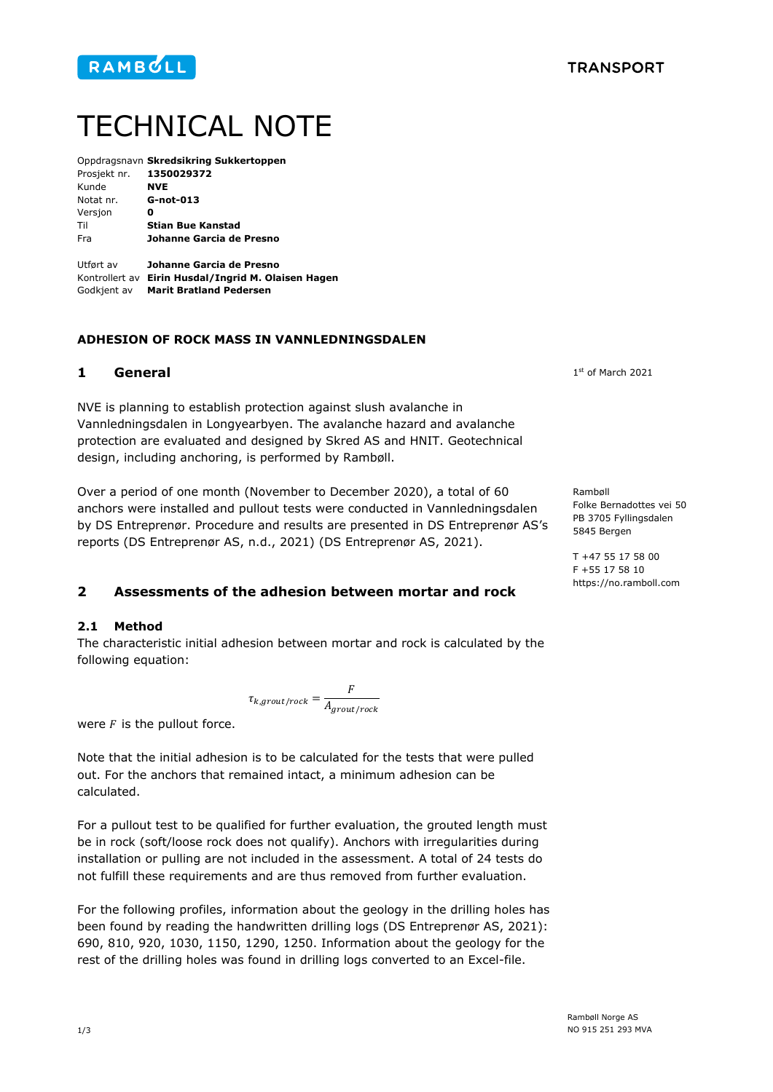

# TECHNICAL NOTE

|                                  | Oppdragsnavn Skredsikring Sukkertoppen |
|----------------------------------|----------------------------------------|
| Prosjekt nr. 1350029372          |                                        |
| Kunde                            | <b>NVE</b>                             |
| Notat nr.                        | G-not-013                              |
| Versjon                          | Ω                                      |
| Til                              | <b>Stian Bue Kanstad</b>               |
| Fra                              | Johanne Garcia de Presno               |
|                                  |                                        |
| $11+f$ $\sim$ $-1$ $\sim$ $\sim$ | lebanne Cavela de Ducena               |

Utført av **Johanne Garcia de Presno** Kontrollert av **Eirin Husdal/Ingrid M. Olaisen Hagen** Godkjent av **Marit Bratland Pedersen**

## **ADHESION OF ROCK MASS IN VANNLEDNINGSDALEN**

## **1 General**

NVE is planning to establish protection against slush avalanche in Vannledningsdalen in Longyearbyen. The avalanche hazard and avalanche protection are evaluated and designed by Skred AS and HNIT. Geotechnical design, including anchoring, is performed by Rambøll.

Over a period of one month (November to December 2020), a total of 60 anchors were installed and pullout tests were conducted in Vannledningsdalen by DS Entreprenør. Procedure and results are presented in DS Entreprenør AS's reports (DS Entreprenør AS, n.d., 2021) (DS Entreprenør AS, 2021).

**2 Assessments of the adhesion between mortar and rock**

#### **2.1 Method**

The characteristic initial adhesion between mortar and rock is calculated by the following equation:

$$
\tau_{k,growth/rock} = \frac{F}{A_{growth/rock}}
$$

were  $F$  is the pullout force.

Note that the initial adhesion is to be calculated for the tests that were pulled out. For the anchors that remained intact, a minimum adhesion can be calculated.

For a pullout test to be qualified for further evaluation, the grouted length must be in rock (soft/loose rock does not qualify). Anchors with irregularities during installation or pulling are not included in the assessment. A total of 24 tests do not fulfill these requirements and are thus removed from further evaluation.

For the following profiles, information about the geology in the drilling holes has been found by reading the handwritten drilling logs (DS Entreprenør AS, 2021): 690, 810, 920, 1030, 1150, 1290, 1250. Information about the geology for the rest of the drilling holes was found in drilling logs converted to an Excel-file.

1 st of March 2021

Rambøll Folke Bernadottes vei 50 PB 3705 Fyllingsdalen 5845 Bergen

T +47 55 17 58 00 F +55 17 58 10 https://no.ramboll.com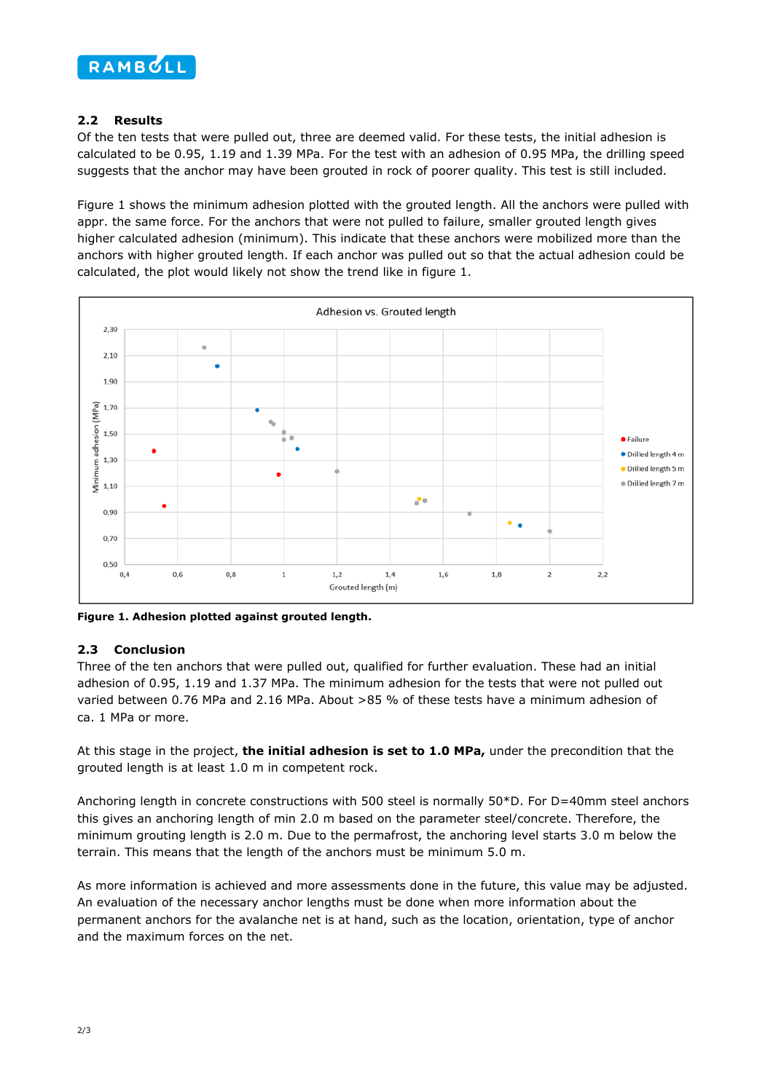

## **2.2 Results**

Of the ten tests that were pulled out, three are deemed valid. For these tests, the initial adhesion is calculated to be 0.95, 1.19 and 1.39 MPa. For the test with an adhesion of 0.95 MPa, the drilling speed suggests that the anchor may have been grouted in rock of poorer quality. This test is still included.

[Figure 1](#page-1-0) shows the minimum adhesion plotted with the grouted length. All the anchors were pulled with appr. the same force. For the anchors that were not pulled to failure, smaller grouted length gives higher calculated adhesion (minimum). This indicate that these anchors were mobilized more than the anchors with higher grouted length. If each anchor was pulled out so that the actual adhesion could be calculated, the plot would likely not show the trend like in [figure 1.](#page-1-0)



<span id="page-1-0"></span>**Figure 1. Adhesion plotted against grouted length.**

## **2.3 Conclusion**

Three of the ten anchors that were pulled out, qualified for further evaluation. These had an initial adhesion of 0.95, 1.19 and 1.37 MPa. The minimum adhesion for the tests that were not pulled out varied between 0.76 MPa and 2.16 MPa. About >85 % of these tests have a minimum adhesion of ca. 1 MPa or more.

At this stage in the project, **the initial adhesion is set to 1.0 MPa,** under the precondition that the grouted length is at least 1.0 m in competent rock.

Anchoring length in concrete constructions with 500 steel is normally 50\*D. For D=40mm steel anchors this gives an anchoring length of min 2.0 m based on the parameter steel/concrete. Therefore, the minimum grouting length is 2.0 m. Due to the permafrost, the anchoring level starts 3.0 m below the terrain. This means that the length of the anchors must be minimum 5.0 m.

As more information is achieved and more assessments done in the future, this value may be adjusted. An evaluation of the necessary anchor lengths must be done when more information about the permanent anchors for the avalanche net is at hand, such as the location, orientation, type of anchor and the maximum forces on the net.